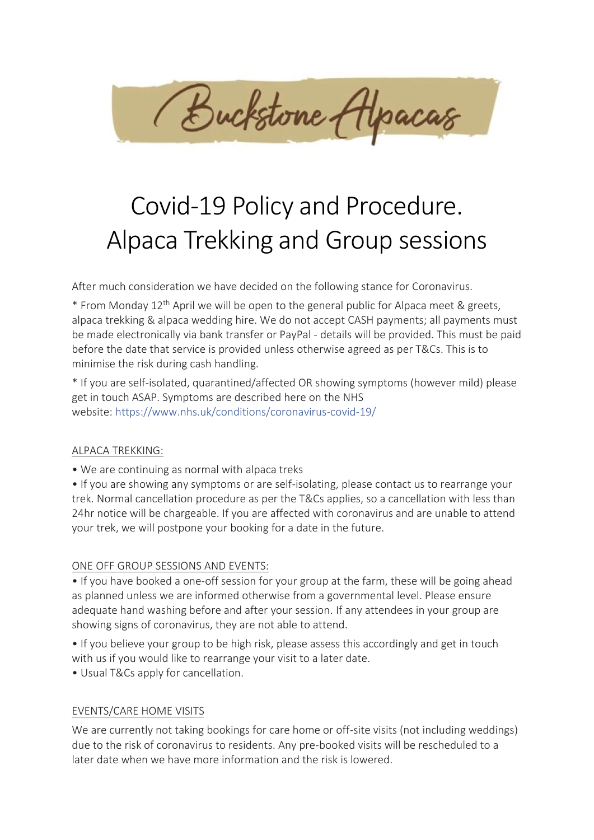

# Covid-19 Policy and Procedure. Alpaca Trekking and Group sessions

After much consideration we have decided on the following stance for Coronavirus.

\* From Monday 12th April we will be open to the general public for Alpaca meet & greets, alpaca trekking & alpaca wedding hire. We do not accept CASH payments; all payments must be made electronically via bank transfer or PayPal - details will be provided. This must be paid before the date that service is provided unless otherwise agreed as per T&Cs. This is to minimise the risk during cash handling.

\* If you are self-isolated, quarantined/affected OR showing symptoms (however mild) please get in touch ASAP. Symptoms are described here on the NHS website: [https://www.nhs.uk/conditions/coronavirus-covid-19/](about:blank)

## ALPACA TREKKING:

• We are continuing as normal with alpaca treks

• If you are showing any symptoms or are self-isolating, please contact us to rearrange your trek. Normal cancellation procedure as per the T&Cs applies, so a cancellation with less than 24hr notice will be chargeable. If you are affected with coronavirus and are unable to attend your trek, we will postpone your booking for a date in the future.

## ONE OFF GROUP SESSIONS AND EVENTS:

• If you have booked a one-off session for your group at the farm, these will be going ahead as planned unless we are informed otherwise from a governmental level. Please ensure adequate hand washing before and after your session. If any attendees in your group are showing signs of coronavirus, they are not able to attend.

- If you believe your group to be high risk, please assess this accordingly and get in touch with us if you would like to rearrange your visit to a later date.
- Usual T&Cs apply for cancellation.

## EVENTS/CARE HOME VISITS

We are currently not taking bookings for care home or off-site visits (not including weddings) due to the risk of coronavirus to residents. Any pre-booked visits will be rescheduled to a later date when we have more information and the risk is lowered.